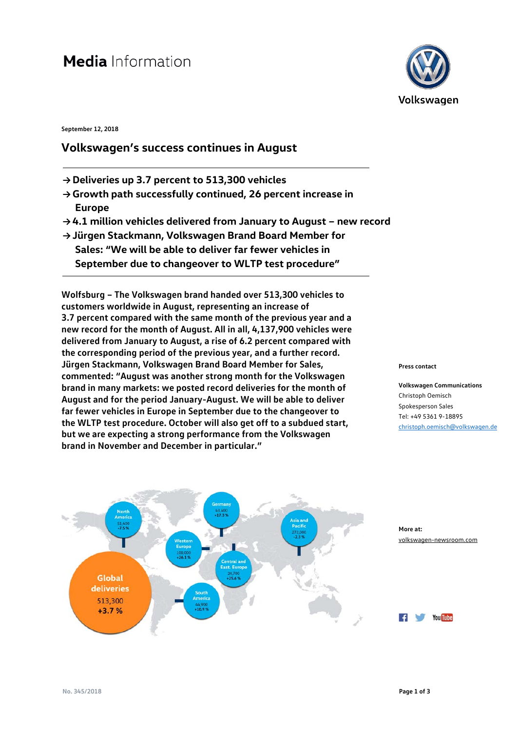## **Media** Information

**September 12, 2018** 

## **Volkswagen's success continues in August**

- **→ Deliveries up 3.7 percent to 513,300 vehicles**
- **→ Growth path successfully continued, 26 percent increase in Europe**
- **→ 4.1 million vehicles delivered from January to August new record**
- **→ Jürgen Stackmann, Volkswagen Brand Board Member for Sales: "We will be able to deliver far fewer vehicles in September due to changeover to WLTP test procedure"**

**Wolfsburg – The Volkswagen brand handed over 513,300 vehicles to customers worldwide in August, representing an increase of 3.7 percent compared with the same month of the previous year and a new record for the month of August. All in all, 4,137,900 vehicles were delivered from January to August, a rise of 6.2 percent compared with the corresponding period of the previous year, and a further record. Jürgen Stackmann, Volkswagen Brand Board Member for Sales, commented: "August was another strong month for the Volkswagen brand in many markets: we posted record deliveries for the month of August and for the period January-August. We will be able to deliver far fewer vehicles in Europe in September due to the changeover to the WLTP test procedure. October will also get off to a subdued start, but we are expecting a strong performance from the Volkswagen brand in November and December in particular."**



**Volkswagen Communications** Christoph Oemisch Spokesperson Sales Tel: +49 5361 9-18895 [christoph.oemisch@volkswagen.de](mailto:christoph.oemisch@volkswagen.de)



**More at:** [volkswagen-newsroom.com](https://www.volkswagen-media-services.com/)



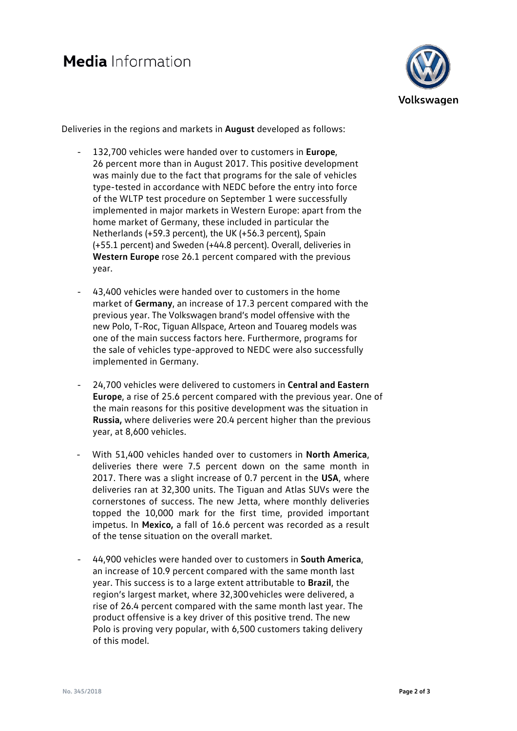

Deliveries in the regions and markets in **August** developed as follows:

- 132,700 vehicles were handed over to customers in **Europe**, 26 percent more than in August 2017. This positive development was mainly due to the fact that programs for the sale of vehicles type-tested in accordance with NEDC before the entry into force of the WLTP test procedure on September 1 were successfully implemented in major markets in Western Europe: apart from the home market of Germany, these included in particular the Netherlands (+59.3 percent), the UK (+56.3 percent), Spain (+55.1 percent) and Sweden (+44.8 percent). Overall, deliveries in **Western Europe** rose 26.1 percent compared with the previous year.
- 43,400 vehicles were handed over to customers in the home market of **Germany**, an increase of 17.3 percent compared with the previous year. The Volkswagen brand's model offensive with the new Polo, T-Roc, Tiguan Allspace, Arteon and Touareg models was one of the main success factors here. Furthermore, programs for the sale of vehicles type-approved to NEDC were also successfully implemented in Germany.
- 24,700 vehicles were delivered to customers in **Central and Eastern Europe**, a rise of 25.6 percent compared with the previous year. One of the main reasons for this positive development was the situation in **Russia,** where deliveries were 20.4 percent higher than the previous year, at 8,600 vehicles.
- With 51,400 vehicles handed over to customers in **North America**, deliveries there were 7.5 percent down on the same month in 2017. There was a slight increase of 0.7 percent in the **USA**, where deliveries ran at 32,300 units. The Tiguan and Atlas SUVs were the cornerstones of success. The new Jetta, where monthly deliveries topped the 10,000 mark for the first time, provided important impetus. In **Mexico,** a fall of 16.6 percent was recorded as a result of the tense situation on the overall market.
- 44,900 vehicles were handed over to customers in **South America**, an increase of 10.9 percent compared with the same month last year. This success is to a large extent attributable to **Brazil**, the region's largest market, where 32,300vehicles were delivered, a rise of 26.4 percent compared with the same month last year. The product offensive is a key driver of this positive trend. The new Polo is proving very popular, with 6,500 customers taking delivery of this model.